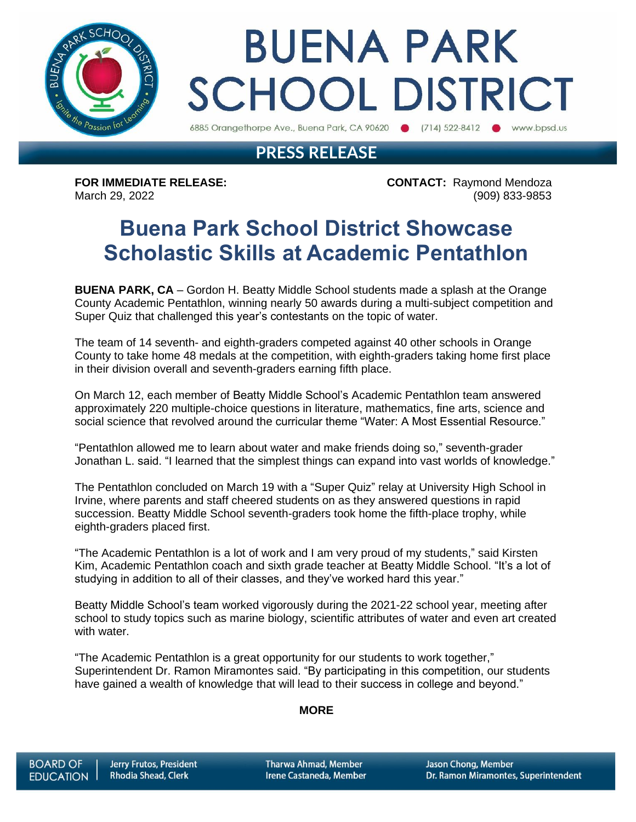

# **BUENA PARK SCHOOL DISTRICT**

6885 Orangethorpe Ave., Buena Park, CA 90620 (714) 522-8412 (b) www.bpsd.us

## **PRESS RELEASE**

**FOR IMMEDIATE RELEASE: CONTACT:** Raymond Mendoza March 29, 2022 (909) 833-9853

# **Buena Park School District Showcase Scholastic Skills at Academic Pentathlon**

**BUENA PARK, CA** – Gordon H. Beatty Middle School students made a splash at the Orange County Academic Pentathlon, winning nearly 50 awards during a multi-subject competition and Super Quiz that challenged this year's contestants on the topic of water.

The team of 14 seventh- and eighth-graders competed against 40 other schools in Orange County to take home 48 medals at the competition, with eighth-graders taking home first place in their division overall and seventh-graders earning fifth place.

On March 12, each member of Beatty Middle School's Academic Pentathlon team answered approximately 220 multiple-choice questions in literature, mathematics, fine arts, science and social science that revolved around the curricular theme "Water: A Most Essential Resource."

"Pentathlon allowed me to learn about water and make friends doing so," seventh-grader Jonathan L. said. "I learned that the simplest things can expand into vast worlds of knowledge."

The Pentathlon concluded on March 19 with a "Super Quiz" relay at University High School in Irvine, where parents and staff cheered students on as they answered questions in rapid succession. Beatty Middle School seventh-graders took home the fifth-place trophy, while eighth-graders placed first.

"The Academic Pentathlon is a lot of work and I am very proud of my students," said Kirsten Kim, Academic Pentathlon coach and sixth grade teacher at Beatty Middle School. "It's a lot of studying in addition to all of their classes, and they've worked hard this year."

Beatty Middle School's team worked vigorously during the 2021-22 school year, meeting after school to study topics such as marine biology, scientific attributes of water and even art created with water.

"The Academic Pentathlon is a great opportunity for our students to work together," Superintendent Dr. Ramon Miramontes said. "By participating in this competition, our students have gained a wealth of knowledge that will lead to their success in college and beyond."

#### **MORE**